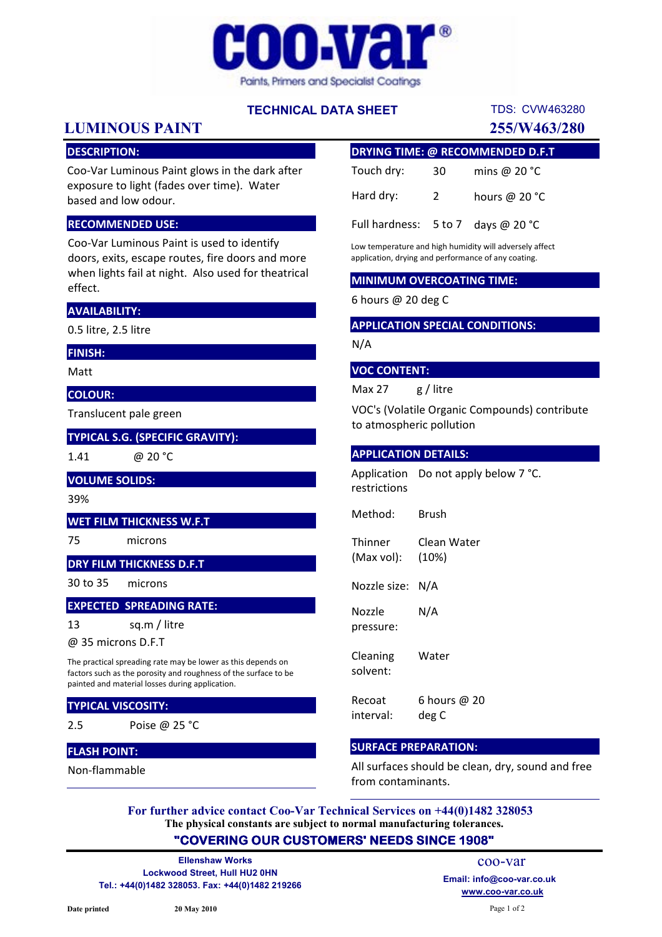

# TECHNICAL DATA SHEET

# LUMINOUS PAINT 255/W463/280

# DESCRIPTION:

Coo-Var Luminous Paint glows in the dark after exposure to light (fades over time). Water based and low odour.

#### RECOMMENDED USE:

Coo-Var Luminous Paint is used to identify doors, exits, escape routes, fire doors and more when lights fail at night. Also used for theatrical effect.

#### AVAILABILITY:

0.5 litre, 2.5 litre

#### FINISH:

Matt

#### COLOUR:

Translucent pale green

#### TYPICAL S.G. (SPECIFIC GRAVITY):

1.41

@ 20 °C

### VOLUME SOLIDS:

39%

#### WET FILM THICKNESS W.F.T

75 microns

# DRY FILM THICKNESS D.F.T

30 to 35 microns

#### EXPECTED SPREADING RATE:

13 sq.m / litre

@ 35 microns D.F.T

The practical spreading rate may be lower as this depends on factors such as the porosity and roughness of the surface to be painted and material losses during application.

# TYPICAL VISCOSITY:

2.5 Poise @ 25 °C

### FLASH POINT:

Non-flammable

| <b>DRYING TIME: @ RECOMMENDED D.F.T</b>       |             |                 |
|-----------------------------------------------|-------------|-----------------|
| Touch dry:                                    | 30          | mins @ $20 °C$  |
| Hard dry:                                     | $2^{\circ}$ | hours @ $20 °C$ |
| Full hardness: $5 \text{ to } 7$ days @ 20 °C |             |                 |

TDS: CVW463280

Low temperature and high humidity will adversely affect application, drying and performance of any coating.

#### MINIMUM OVERCOATING TIME:

6 hours @ 20 deg C

#### APPLICATION SPECIAL CONDITIONS:

N/A

#### VOC CONTENT:

Max 27 g / litre

VOC's (Volatile Organic Compounds) contribute to atmospheric pollution

#### APPLICATION DETAILS:

Application Do not apply below 7 °C. restrictions

Method: Brush

**Thinner** (Max vol): Clean Water (10%)

Nozzle size: N/A

Nozzle pressure: N/A

Cleaning solvent: Water

Recoat interval: 6 hours @ 20 deg C

#### SURFACE PREPARATION:

All surfaces should be clean, dry, sound and free from contaminants.

The physical constants are subject to normal manufacturing tolerances. For further advice contact Coo-Var Technical Services on +44(0)1482 328053

# "COVERING OUR CUSTOMERS' NEEDS SINCE 1908"

Lockwood Street, Hull HU2 0HN Tel.: +44(0)1482 328053. Fax: +44(0)1482 219266 Ellenshaw Works

www.coo-var.co.uk coo-var Email: info@coo-var.co.uk

Page 1 of 2